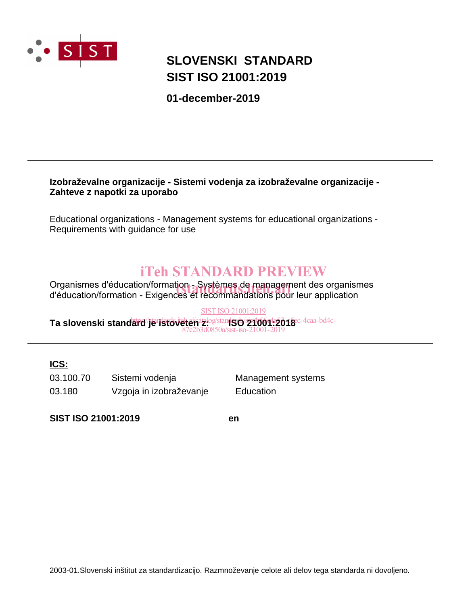

# **SLOVENSKI STANDARD SIST ISO 21001:2019**

**01-december-2019**

### **Izobraževalne organizacije - Sistemi vodenja za izobraževalne organizacije - Zahteve z napotki za uporabo**

Educational organizations - Management systems for educational organizations - Requirements with guidance for use

# iTeh STANDARD PREVIEW

Organismes d'éducation/formation - Systèmes de management des organismes Organismes d'éducation/formation - Systèmes de management des organisr<br>d'éducation/formation - Exigences et recommandations pour leur application

#### SIST ISO 21001:2019

Ta slovenski stand<del>ard<sup>/</sup>je istoveten z.</del>og/stan**iSO 21001-2018**<sup>c-4caa-bd4c-</sup> 87c2b3d0850a/sist-iso-21001-2019

## **ICS:**

03.100.70 Sistemi vodenja Management systems 03.180 Vzgoja in izobraževanje Education

**SIST ISO 21001:2019 en**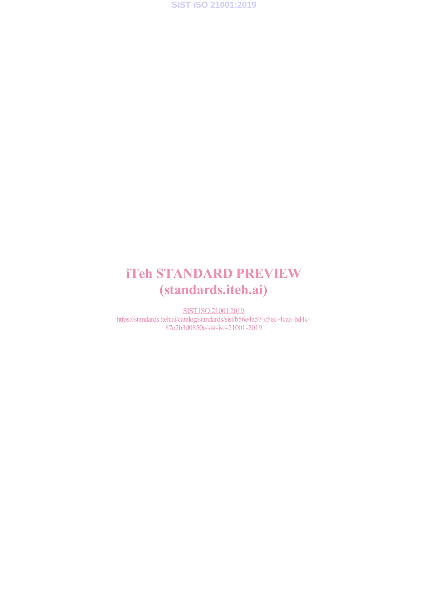

# iTeh STANDARD PREVIEW (standards.iteh.ai)

SIST ISO 21001:2019 https://standards.iteh.ai/catalog/standards/sist/b56e4a57-c5ec-4caa-bd4c-87c2b3d0850a/sist-iso-21001-2019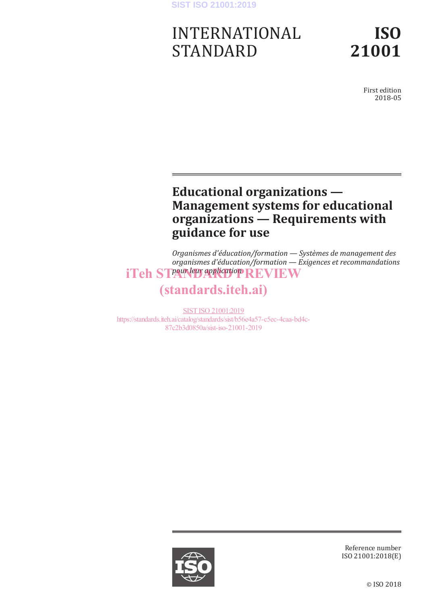### **SIST ISO 21001:2019**

# INTERNATIONAL STANDARD

**ISO 21001**

> First edition 2018-05

# **Educational organizations — Management systems for educational organizations — Requirements with guidance for use**

*Organismes d'éducation/formation — Systèmes de management des organismes d'éducation/formation — Exigences et recommandations*  iTeh STPaurleur application REVIEW

# (standards.iteh.ai)

SIST ISO 21001:2019 https://standards.iteh.ai/catalog/standards/sist/b56e4a57-c5ec-4caa-bd4c-87c2b3d0850a/sist-iso-21001-2019



Reference number ISO 21001:2018(E)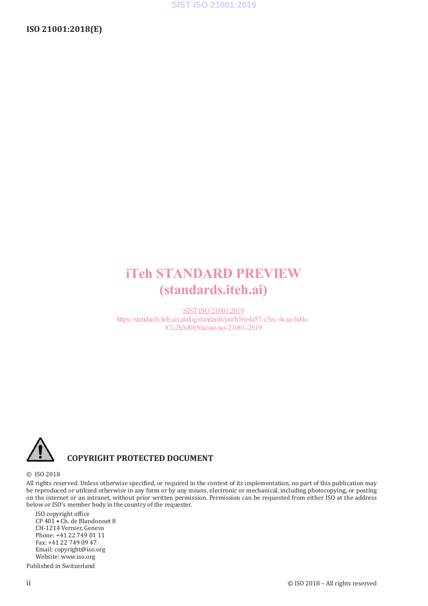# iTeh STANDARD PREVIEW (standards.iteh.ai)

SIST ISO 21001:2019 https://standards.iteh.ai/catalog/standards/sist/b56e4a57-c5ec-4caa-bd4c-87c2b3d0850a/sist-iso-21001-2019



## **COPYRIGHT PROTECTED DOCUMENT**

#### © ISO 2018

All rights reserved. Unless otherwise specified, or required in the context of its implementation, no part of this publication may be reproduced or utilized otherwise in any form or by any means, electronic or mechanical, including photocopying, or posting on the internet or an intranet, without prior written permission. Permission can be requested from either ISO at the address below or ISO's member body in the country of the requester.

ISO copyright office CP 401 • Ch. de Blandonnet 8 CH-1214 Vernier, Geneva Phone: +41 22 749 01 11 Fax: +41 22 749 09 47 Email: copyright@iso.org Website: www.iso.org

Published in Switzerland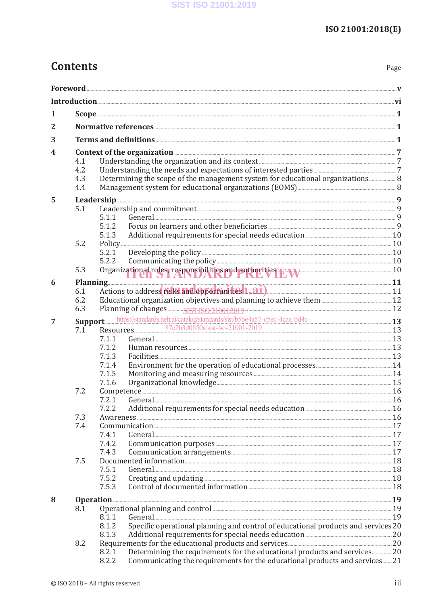# **Contents**

Page

| 2 |                                                                                   |                                                                                            |  |  |  |  |
|---|-----------------------------------------------------------------------------------|--------------------------------------------------------------------------------------------|--|--|--|--|
| 3 |                                                                                   |                                                                                            |  |  |  |  |
| 4 | Context of the organization 27                                                    |                                                                                            |  |  |  |  |
|   | 4.1                                                                               |                                                                                            |  |  |  |  |
|   | 4.2                                                                               |                                                                                            |  |  |  |  |
|   | 4.3                                                                               | Determining the scope of the management system for educational organizations 8             |  |  |  |  |
|   | 4.4                                                                               |                                                                                            |  |  |  |  |
| 5 |                                                                                   |                                                                                            |  |  |  |  |
|   | 5.1                                                                               |                                                                                            |  |  |  |  |
|   |                                                                                   | 5.1.1                                                                                      |  |  |  |  |
|   |                                                                                   | 5.1.2<br>5.1.3                                                                             |  |  |  |  |
|   | 5.2                                                                               |                                                                                            |  |  |  |  |
|   |                                                                                   | 5.2.1                                                                                      |  |  |  |  |
|   |                                                                                   | 5.2.2                                                                                      |  |  |  |  |
|   | 5.3                                                                               | Organizational roles, responsibilities and authorities F. W 10                             |  |  |  |  |
| 6 |                                                                                   | Planning 11                                                                                |  |  |  |  |
|   | 6.1                                                                               |                                                                                            |  |  |  |  |
|   | 6.2                                                                               |                                                                                            |  |  |  |  |
|   | 6.3                                                                               |                                                                                            |  |  |  |  |
| 7 | Support https://standards.iteh.ai/catalog/standards/sist/b56e4a57-c5ec-4caa-bd4c- |                                                                                            |  |  |  |  |
|   | 7.1                                                                               |                                                                                            |  |  |  |  |
|   |                                                                                   | 7.1.1                                                                                      |  |  |  |  |
|   |                                                                                   | 7.1.2                                                                                      |  |  |  |  |
|   |                                                                                   | 7.1.3                                                                                      |  |  |  |  |
|   |                                                                                   | 7.1.4                                                                                      |  |  |  |  |
|   |                                                                                   | 7.1.5                                                                                      |  |  |  |  |
|   | 7.2                                                                               | 7.1.6                                                                                      |  |  |  |  |
|   |                                                                                   | 7.2.1                                                                                      |  |  |  |  |
|   |                                                                                   |                                                                                            |  |  |  |  |
|   | 7.3                                                                               |                                                                                            |  |  |  |  |
|   | 7.4                                                                               |                                                                                            |  |  |  |  |
|   |                                                                                   | 7.4.1                                                                                      |  |  |  |  |
|   |                                                                                   | 7.4.2                                                                                      |  |  |  |  |
|   |                                                                                   | 7.4.3                                                                                      |  |  |  |  |
|   | 7.5                                                                               | 7.5.1                                                                                      |  |  |  |  |
|   |                                                                                   | 7.5.2                                                                                      |  |  |  |  |
|   |                                                                                   | 7.5.3                                                                                      |  |  |  |  |
|   |                                                                                   |                                                                                            |  |  |  |  |
| 8 | 8.1                                                                               |                                                                                            |  |  |  |  |
|   |                                                                                   | 8.1.1                                                                                      |  |  |  |  |
|   |                                                                                   | Specific operational planning and control of educational products and services 20<br>8.1.2 |  |  |  |  |
|   |                                                                                   | 8.1.3                                                                                      |  |  |  |  |
|   | 8.2                                                                               |                                                                                            |  |  |  |  |
|   |                                                                                   | Determining the requirements for the educational products and services 20<br>8.2.1         |  |  |  |  |
|   |                                                                                   | Communicating the requirements for the educational products and services 21<br>8.2.2       |  |  |  |  |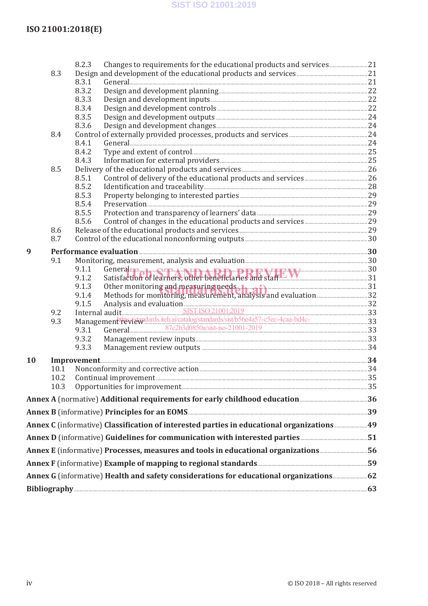### SIST ISO 21001:2019

## ISO 21001:2018(E)

|                                                                                                           |              | 8.2.3                                                                                                                                                          |  |  |  |
|-----------------------------------------------------------------------------------------------------------|--------------|----------------------------------------------------------------------------------------------------------------------------------------------------------------|--|--|--|
|                                                                                                           | 8.3          |                                                                                                                                                                |  |  |  |
|                                                                                                           |              | 8.3.1                                                                                                                                                          |  |  |  |
|                                                                                                           |              | 8.3.2<br>8.3.3                                                                                                                                                 |  |  |  |
|                                                                                                           |              | 8.3.4                                                                                                                                                          |  |  |  |
|                                                                                                           |              | 8.3.5                                                                                                                                                          |  |  |  |
|                                                                                                           |              | 8.3.6                                                                                                                                                          |  |  |  |
|                                                                                                           | 8.4          |                                                                                                                                                                |  |  |  |
|                                                                                                           |              | 8.4.1                                                                                                                                                          |  |  |  |
|                                                                                                           |              | 8.4.2                                                                                                                                                          |  |  |  |
|                                                                                                           |              | 8.4.3                                                                                                                                                          |  |  |  |
|                                                                                                           | 8.5          |                                                                                                                                                                |  |  |  |
|                                                                                                           |              | 8.5.1                                                                                                                                                          |  |  |  |
|                                                                                                           |              | 8.5.2<br>8.5.3                                                                                                                                                 |  |  |  |
|                                                                                                           |              | 8.5.4                                                                                                                                                          |  |  |  |
|                                                                                                           |              | 8.5.5                                                                                                                                                          |  |  |  |
|                                                                                                           |              | 8.5.6                                                                                                                                                          |  |  |  |
|                                                                                                           | 8.6          |                                                                                                                                                                |  |  |  |
|                                                                                                           | 8.7          |                                                                                                                                                                |  |  |  |
| 9                                                                                                         |              |                                                                                                                                                                |  |  |  |
|                                                                                                           | 9.1          |                                                                                                                                                                |  |  |  |
|                                                                                                           |              | 9.1.1                                                                                                                                                          |  |  |  |
|                                                                                                           |              | General and Satisfaction of learners, other beneficiaries and staff<br>9.1.2                                                                                   |  |  |  |
|                                                                                                           |              | Other monitoring and measuring needs and many six and evaluation 31<br>Methods for monitoring, measurement, analysis and evaluation 32<br>9.1.3                |  |  |  |
|                                                                                                           |              | 9.1.4                                                                                                                                                          |  |  |  |
|                                                                                                           |              |                                                                                                                                                                |  |  |  |
|                                                                                                           | 9.2          | 9.1.5 Analysis and evaluation 32<br>Internal audit SIST ISO 210012019 33<br>Management Fevit walands.it h.ai/catalog/standards/sist/b56e4a57-c5ec-4caa-bd4c-33 |  |  |  |
|                                                                                                           | 9.3          | General 23 33 37 22 33 30850 a/sist-iso-21001-2019<br>9.3.1                                                                                                    |  |  |  |
|                                                                                                           |              | 9.3.2                                                                                                                                                          |  |  |  |
|                                                                                                           |              | 9.3.3                                                                                                                                                          |  |  |  |
|                                                                                                           |              |                                                                                                                                                                |  |  |  |
| <b>10</b>                                                                                                 |              |                                                                                                                                                                |  |  |  |
|                                                                                                           | 10.1<br>10.2 |                                                                                                                                                                |  |  |  |
|                                                                                                           | 10.3         |                                                                                                                                                                |  |  |  |
|                                                                                                           |              |                                                                                                                                                                |  |  |  |
|                                                                                                           |              | Annex B (informative) Principles for an EOMS <b>EXECUTE:</b> 39                                                                                                |  |  |  |
|                                                                                                           |              | Annex C (informative) Classification of interested parties in educational organizations49                                                                      |  |  |  |
| Annex D (informative) Guidelines for communication with interested parties <b>manual controllation</b> 51 |              |                                                                                                                                                                |  |  |  |
| Annex E (informative) Processes, measures and tools in educational organizations56                        |              |                                                                                                                                                                |  |  |  |
|                                                                                                           |              |                                                                                                                                                                |  |  |  |
|                                                                                                           |              |                                                                                                                                                                |  |  |  |
|                                                                                                           |              |                                                                                                                                                                |  |  |  |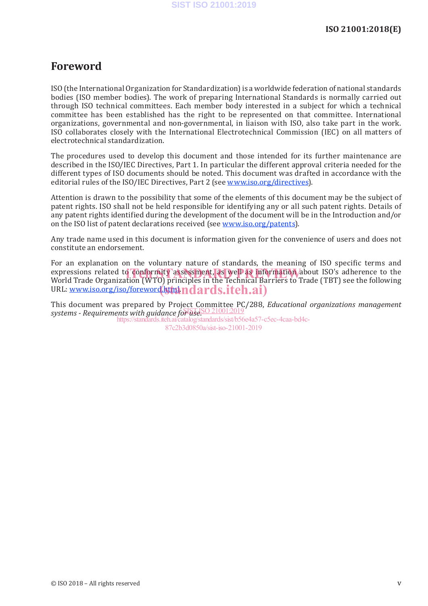## **Foreword**

ISO (the International Organization for Standardization) is a worldwide federation of national standards bodies (ISO member bodies). The work of preparing International Standards is normally carried out through ISO technical committees. Each member body interested in a subject for which a technical committee has been established has the right to be represented on that committee. International organizations, governmental and non-governmental, in liaison with ISO, also take part in the work. ISO collaborates closely with the International Electrotechnical Commission (IEC) on all matters of electrotechnical standardization.

The procedures used to develop this document and those intended for its further maintenance are described in the ISO/IEC Directives, Part 1. In particular the different approval criteria needed for the different types of ISO documents should be noted. This document was drafted in accordance with the editorial rules of the ISO/IEC Directives, Part 2 (see www.iso.org/directives).

Attention is drawn to the possibility that some of the elements of this document may be the subject of patent rights. ISO shall not be held responsible for identifying any or all such patent rights. Details of any patent rights identified during the development of the document will be in the Introduction and/or on the ISO list of patent declarations received (see www.iso.org/patents).

Any trade name used in this document is information given for the convenience of users and does not constitute an endorsement.

For an explanation on the voluntary nature of standards, the meaning of ISO specific terms and expressions related to conformity assessment, as well as information about ISO's adherence to the experience of the following and the Technical Barriers to Trade (TBT) see the following World Trade Organization (WTO) principles in the Technical Barriers to Trade (TBT) see the following URL: <u>www.iso.org/iso/foreword</u>.html.html.html.html

This document was prepared by Project Committee PC/288, *Educational organizations management*  systems - Requirements with guidance for use. SO 21001:2019

https://standards.iteh.ai/catalog/standards/sist/b56e4a57-c5ec-4caa-bd4c-87c2b3d0850a/sist-iso-21001-2019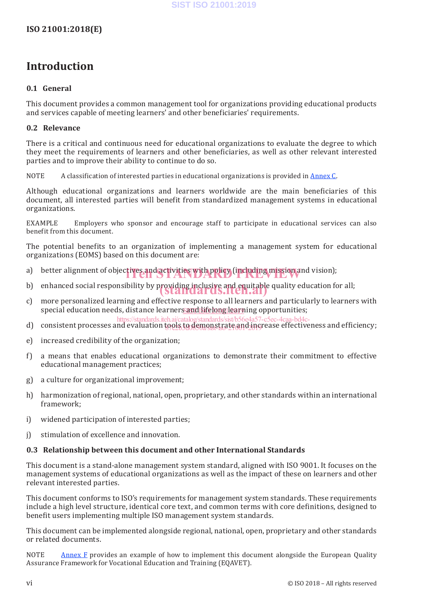# **Introduction**

#### **0.1 General**

This document provides a common management tool for organizations providing educational products and services capable of meeting learners' and other beneficiaries' requirements.

#### **0.2 Relevance**

There is a critical and continuous need for educational organizations to evaluate the degree to which they meet the requirements of learners and other beneficiaries, as well as other relevant interested parties and to improve their ability to continue to do so.

NOTE A classification of interested parties in educational organizations is provided in Annex C.

Although educational organizations and learners worldwide are the main beneficiaries of this document, all interested parties will benefit from standardized management systems in educational organizations.

EXAMPLE Employers who sponsor and encourage staff to participate in educational services can also benefit from this document.

The potential benefits to an organization of implementing a management system for educational organizations (EOMS) based on this document are:

- a) better alignment of objectives and activities with policy (including mission and vision);
- b) enhanced social responsibility by providing inclusive and equitable quality education for all;<br>**in the conduct of the conduction of the conduction of the conduction of the conduction of the conduction of th**
- c) more personalized learning and effective response to all learners and particularly to learners with special education needs, distance learner<u>s and lifelong learn</u>ing opportunities;
- d)  $\,$  consistent processes and evaluation tools to demonstrate and increase effectiveness and efficiency; https://standards.iteh.ai/catalog/standards/sist/b56e4a57-c5ec-4caa-bd4ctools to gemonstrate ang 2116
- e) increased credibility of the organization;
- f) a means that enables educational organizations to demonstrate their commitment to effective educational management practices;
- g) a culture for organizational improvement;
- h) harmonization of regional, national, open, proprietary, and other standards within an international framework;
- i) widened participation of interested parties;
- j) stimulation of excellence and innovation.

#### **0.3 Relationship between this document and other International Standards**

This document is a stand-alone management system standard, aligned with ISO 9001. It focuses on the management systems of educational organizations as well as the impact of these on learners and other relevant interested parties.

This document conforms to ISO's requirements for management system standards. These requirements include a high level structure, identical core text, and common terms with core definitions, designed to benefit users implementing multiple ISO management system standards.

This document can be implemented alongside regional, national, open, proprietary and other standards or related documents.

NOTE Annex F provides an example of how to implement this document alongside the European Quality Assurance Framework for Vocational Education and Training (EQAVET).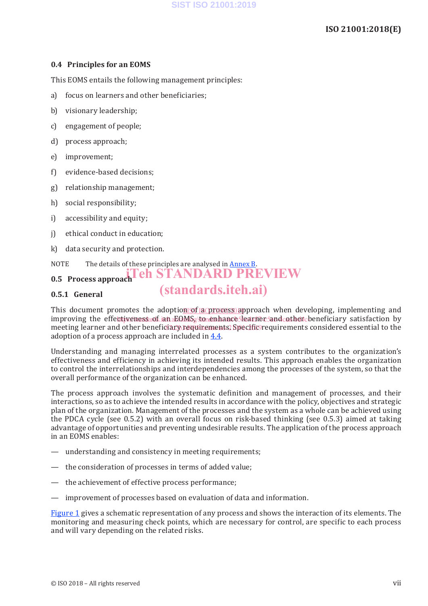#### **0.4 Principles for an EOMS**

This EOMS entails the following management principles:

- a) focus on learners and other beneficiaries;
- b) visionary leadership;
- c) engagement of people;
- d) process approach;
- e) improvement;
- f) evidence-based decisions;
- g) relationship management;
- h) social responsibility;
- i) accessibility and equity;
- j) ethical conduct in education;
- k) data security and protection.

## NOTE The details of these principles are analysed in Annex B. **IEH STANDARD PREVIEW**

# **0.5 Process approach**

#### **0.5.1 General**

This document promotes the adoption of a process approach when developing, implementing and improving the effectiveness of an EQMS, to enhance learner and other beneficiary satisfaction by meeting learner and other beneficiary requirements. Specific requirements considered essential to the adoption of a process approach are included in 4.4.

(standards.iteh.ai)

Understanding and managing interrelated processes as a system contributes to the organization's effectiveness and efficiency in achieving its intended results. This approach enables the organization to control the interrelationships and interdependencies among the processes of the system, so that the overall performance of the organization can be enhanced.

The process approach involves the systematic definition and management of processes, and their interactions, so as to achieve the intended results in accordance with the policy, objectives and strategic plan of the organization. Management of the processes and the system as a whole can be achieved using the PDCA cycle (see 0.5.2) with an overall focus on risk-based thinking (see 0.5.3) aimed at taking advantage of opportunities and preventing undesirable results. The application of the process approach in an EOMS enables:

- understanding and consistency in meeting requirements;
- the consideration of processes in terms of added value;
- the achievement of effective process performance;
- improvement of processes based on evaluation of data and information.

Figure 1 gives a schematic representation of any process and shows the interaction of its elements. The monitoring and measuring check points, which are necessary for control, are specific to each process and will vary depending on the related risks.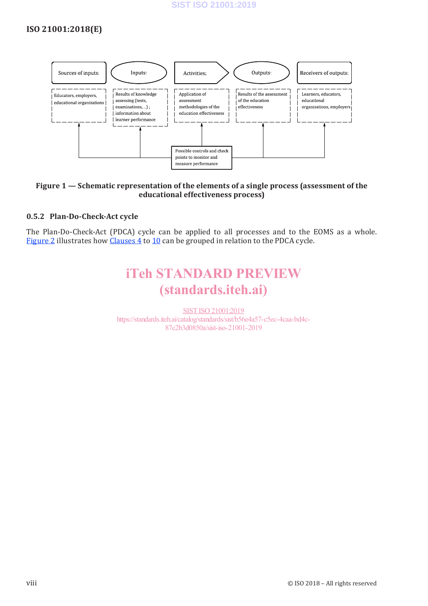## **ISO 21001:2018(E)**



#### **Figure 1 — Schematic representation of the elements of a single process (assessment of the educational effectiveness process)**

#### **0.5.2 Plan-Do-Check-Act cycle**

The Plan-Do-Check-Act (PDCA) cycle can be applied to all processes and to the EOMS as a whole. Figure 2 illustrates how Clauses 4 to 10 can be grouped in relation to the PDCA cycle.

# iTeh STANDARD PREVIEW (standards.iteh.ai)

SIST ISO 21001:2019 https://standards.iteh.ai/catalog/standards/sist/b56e4a57-c5ec-4caa-bd4c-87c2b3d0850a/sist-iso-21001-2019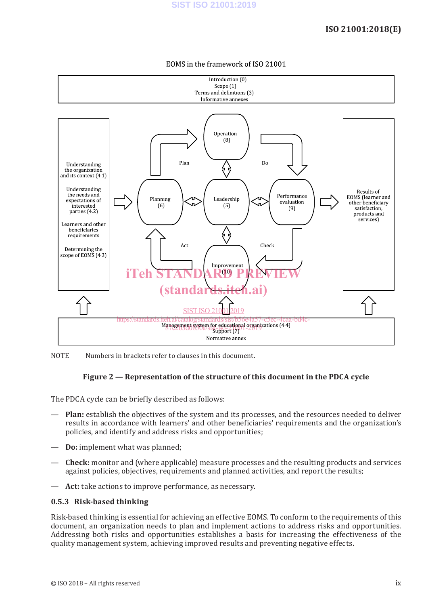### **ISO 21001:2018(E)**



#### EOMS in the framework of ISO 21001

NOTE Numbers in brackets refer to clauses in this document.

#### **Figure 2 — Representation of the structure of this document in the PDCA cycle**

The PDCA cycle can be briefly described as follows:

- **Plan:** establish the objectives of the system and its processes, and the resources needed to deliver results in accordance with learners' and other beneficiaries' requirements and the organization's policies, and identify and address risks and opportunities;
- **Do:** implement what was planned;
- **Check:** monitor and (where applicable) measure processes and the resulting products and services against policies, objectives, requirements and planned activities, and report the results;
- **Act:** take actions to improve performance, as necessary.

#### **0.5.3 Risk-based thinking**

Risk-based thinking is essential for achieving an effective EOMS. To conform to the requirements of this document, an organization needs to plan and implement actions to address risks and opportunities. Addressing both risks and opportunities establishes a basis for increasing the effectiveness of the quality management system, achieving improved results and preventing negative effects.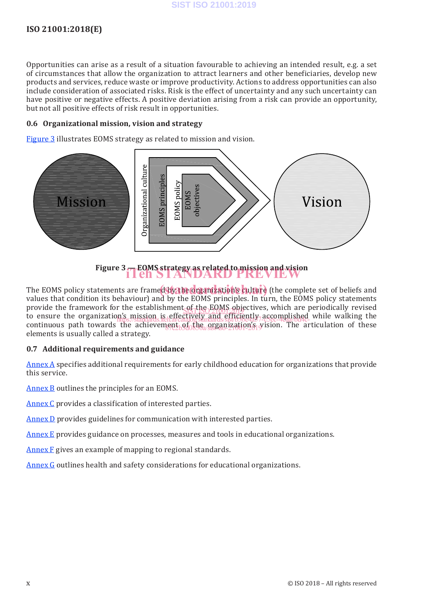#### **SIST ISO 21001:2019**

### **ISO 21001:2018(E)**

Opportunities can arise as a result of a situation favourable to achieving an intended result, e.g. a set of circumstances that allow the organization to attract learners and other beneficiaries, develop new products and services, reduce waste or improve productivity. Actions to address opportunities can also include consideration of associated risks. Risk is the effect of uncertainty and any such uncertainty can have positive or negative effects. A positive deviation arising from a risk can provide an opportunity, but not all positive effects of risk result in opportunities.

#### **0.6 Organizational mission, vision and strategy**

Figure 3 illustrates EOMS strategy as related to mission and vision.



**Figure 3 — EOMS strategy as related to mission and vision** iTeh STANDARD PREVIEW

The EOMS policy statements are framed by the organization's **culture** (the complete set of beliefs and the standard set of the standard set of the standard set of the standard set of the standard set of the standard set of values that condition its behaviour) and by the EOMS principles. In turn, the EOMS policy statements provide the framework for the establishment of the EOMS objectives, which are periodically revised provide the to ensure the organization's mission is effectively and efficiently accomplished while walking the<br>https://standards.iteh.ai/catalog/standards/sist/b56e4a57-c5ec-4caa-bd4ccontinuous path towards the achievement of the organization *s* vision. The articulation of these elements is usually called a strategy.

#### **0.7 Additional requirements and guidance**

Annex A specifies additional requirements for early childhood education for organizations that provide this service.

Annex B outlines the principles for an EOMS.

Annex C provides a classification of interested parties.

Annex D provides guidelines for communication with interested parties.

Annex E provides guidance on processes, measures and tools in educational organizations.

Annex F gives an example of mapping to regional standards.

Annex G outlines health and safety considerations for educational organizations.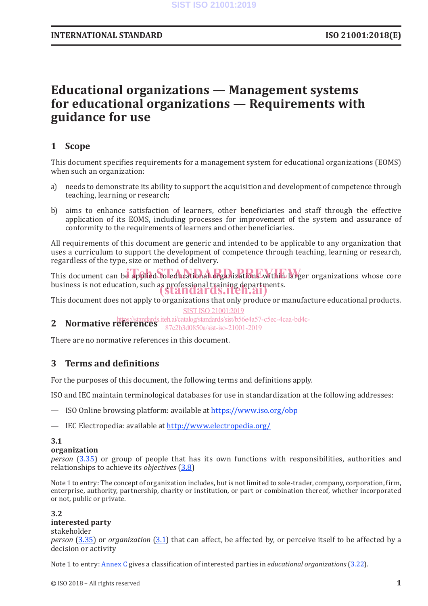# **Educational organizations — Management systems for educational organizations — Requirements with guidance for use**

## **1 Scope**

This document specifies requirements for a management system for educational organizations (EOMS) when such an organization:

- a) needs to demonstrate its ability to support the acquisition and development of competence through teaching, learning or research;
- b) aims to enhance satisfaction of learners, other beneficiaries and staff through the effective application of its EOMS, including processes for improvement of the system and assurance of conformity to the requirements of learners and other beneficiaries.

All requirements of this document are generic and intended to be applicable to any organization that uses a curriculum to support the development of competence through teaching, learning or research, regardless of the type, size or method of delivery.

This document can be applied to educational organizations within larger organizations whose core business is not education, such as professional training departments.<br>Standards.iten.ai)

This document does not apply to organizations that only produce or manufacture educational products.<br>SIST ISO 21001:2019 SIST ISO 21001:2019

**2 Normative references** https://standards.iteh.ai/catalog/standards/sist/b56e4a57-c5ec-4caa-bd4c-87c2b3d0850a/sist-iso-21001-2019

There are no normative references in this document.

### **3 Terms and definitions**

For the purposes of this document, the following terms and definitions apply.

ISO and IEC maintain terminological databases for use in standardization at the following addresses:

- ISO Online browsing platform: available at https://www.iso.org/obp
- IEC Electropedia: available at http://www.electropedia.org/

#### **3.1**

#### **organization**

*person* (3.35) or group of people that has its own functions with responsibilities, authorities and relationships to achieve its *objectives* (3.8)

Note 1 to entry: The concept of organization includes, but is not limited to sole-trader, company, corporation, firm, enterprise, authority, partnership, charity or institution, or part or combination thereof, whether incorporated or not, public or private.

# **3.2**

#### **interested party** stakeholder

*person* (3.35) or *organization* (3.1) that can affect, be affected by, or perceive itself to be affected by a decision or activity

Note 1 to entry: Annex C gives a classification of interested parties in *educational organizations* (3.22).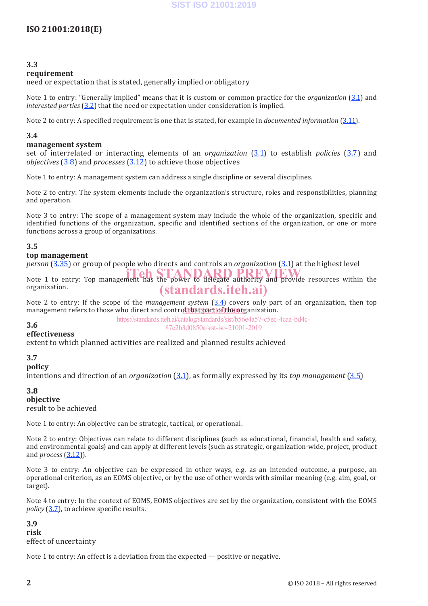#### **3.3**

#### **requirement**

need or expectation that is stated, generally implied or obligatory

Note 1 to entry: "Generally implied" means that it is custom or common practice for the *organization* (3.1) and *interested parties* (3.2) that the need or expectation under consideration is implied.

Note 2 to entry: A specified requirement is one that is stated, for example in *documented information* (3.11).

#### **3.4**

#### **management system**

set of interrelated or interacting elements of an *organization* (3.1) to establish *policies* (3.7) and *objectives* (3.8) and *processes* (3.12) to achieve those objectives

Note 1 to entry: A management system can address a single discipline or several disciplines.

Note 2 to entry: The system elements include the organization's structure, roles and responsibilities, planning and operation.

Note 3 to entry: The scope of a management system may include the whole of the organization, specific and identified functions of the organization, specific and identified sections of the organization, or one or more functions across a group of organizations.

#### **3.5**

#### **top management**

*person* (3.35) or group of people who directs and controls an *organization* (3.1) at the highest level

Note 1 to entry: Top management has the power to delegate authority and provide resources within the organization. (standards.iteh.ai)

Note 2 to entry: If the scope of the *management system* (3.4) covers only part of an organization, then top management refers to those who direct and contro<u>l that part of the org</u>anization.

#### **3.6**

https://standards.iteh.ai/catalog/standards/sist/b56e4a57-c5ec-4caa-bd4c-87c2b3d0850a/sist-iso-21001-2019

#### **effectiveness**

extent to which planned activities are realized and planned results achieved

#### **3.7**

**policy**

intentions and direction of an *organization* (3.1), as formally expressed by its *top management* (3.5)

#### **3.8 objective** result to be achieved

Note 1 to entry: An objective can be strategic, tactical, or operational.

Note 2 to entry: Objectives can relate to different disciplines (such as educational, financial, health and safety, and environmental goals) and can apply at different levels (such as strategic, organization-wide, project, product and *process* (3.12)).

Note 3 to entry: An objective can be expressed in other ways, e.g. as an intended outcome, a purpose, an operational criterion, as an EOMS objective, or by the use of other words with similar meaning (e.g. aim, goal, or target).

Note 4 to entry: In the context of EOMS, EOMS objectives are set by the organization, consistent with the EOMS *policy* (3.7), to achieve specific results.

**3.9 risk** effect of uncertainty

Note 1 to entry: An effect is a deviation from the expected — positive or negative.